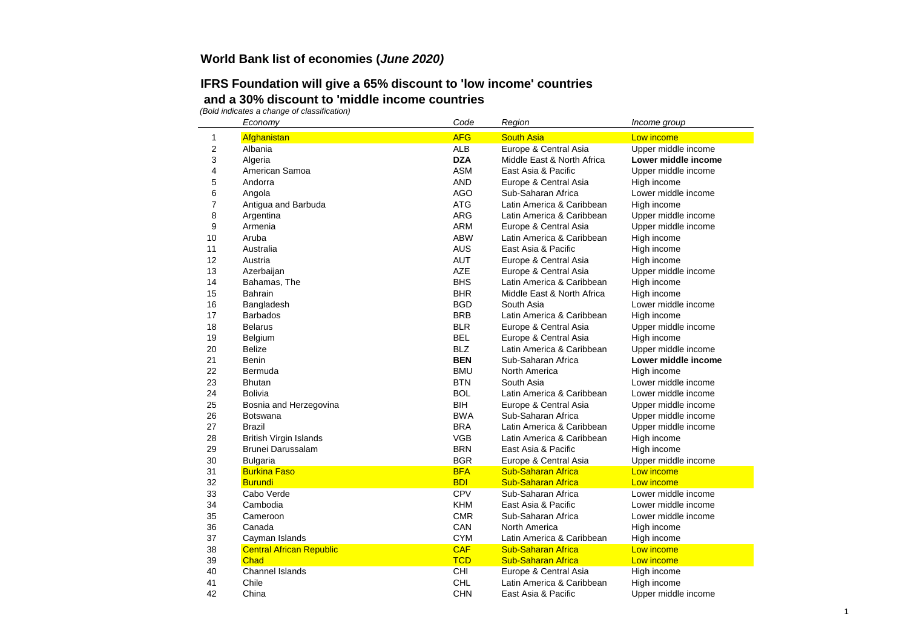## **IFRS Foundation will give a 65% discount to 'low income' countries and a 30% discount to 'middle income countries**

|                  | Economy                         | Code       | Region                     | Income group        |
|------------------|---------------------------------|------------|----------------------------|---------------------|
| 1                | Afghanistan                     | <b>AFG</b> | <b>South Asia</b>          | Low income          |
| $\boldsymbol{2}$ | Albania                         | <b>ALB</b> | Europe & Central Asia      | Upper middle income |
| 3                | Algeria                         | <b>DZA</b> | Middle East & North Africa | Lower middle income |
| 4                | American Samoa                  | <b>ASM</b> | East Asia & Pacific        | Upper middle income |
| 5                | Andorra                         | <b>AND</b> | Europe & Central Asia      | High income         |
| 6                | Angola                          | <b>AGO</b> | Sub-Saharan Africa         | Lower middle income |
| 7                | Antigua and Barbuda             | <b>ATG</b> | Latin America & Caribbean  | High income         |
| 8                | Argentina                       | <b>ARG</b> | Latin America & Caribbean  | Upper middle income |
| 9                | Armenia                         | <b>ARM</b> | Europe & Central Asia      | Upper middle income |
| 10               | Aruba                           | <b>ABW</b> | Latin America & Caribbean  | High income         |
| 11               | Australia                       | <b>AUS</b> | East Asia & Pacific        | High income         |
| 12               | Austria                         | <b>AUT</b> | Europe & Central Asia      | High income         |
| 13               | Azerbaijan                      | <b>AZE</b> | Europe & Central Asia      | Upper middle income |
| 14               | Bahamas, The                    | <b>BHS</b> | Latin America & Caribbean  | High income         |
| 15               | <b>Bahrain</b>                  | <b>BHR</b> | Middle East & North Africa | High income         |
| 16               | Bangladesh                      | <b>BGD</b> | South Asia                 | Lower middle income |
| 17               | <b>Barbados</b>                 | <b>BRB</b> | Latin America & Caribbean  | High income         |
| 18               | <b>Belarus</b>                  | <b>BLR</b> | Europe & Central Asia      | Upper middle income |
| 19               | Belgium                         | <b>BEL</b> | Europe & Central Asia      | High income         |
| 20               | <b>Belize</b>                   | <b>BLZ</b> | Latin America & Caribbean  | Upper middle income |
| 21               | Benin                           | <b>BEN</b> | Sub-Saharan Africa         | Lower middle income |
| 22               | Bermuda                         | <b>BMU</b> | North America              | High income         |
| 23               | <b>Bhutan</b>                   | <b>BTN</b> | South Asia                 | Lower middle income |
| 24               | Bolivia                         | <b>BOL</b> | Latin America & Caribbean  | Lower middle income |
| 25               | Bosnia and Herzegovina          | <b>BIH</b> | Europe & Central Asia      | Upper middle income |
| 26               | Botswana                        | <b>BWA</b> | Sub-Saharan Africa         | Upper middle income |
| 27               | <b>Brazil</b>                   | <b>BRA</b> | Latin America & Caribbean  | Upper middle income |
| 28               | <b>British Virgin Islands</b>   | <b>VGB</b> | Latin America & Caribbean  | High income         |
| 29               | <b>Brunei Darussalam</b>        | <b>BRN</b> | East Asia & Pacific        | High income         |
| 30               | <b>Bulgaria</b>                 | <b>BGR</b> | Europe & Central Asia      | Upper middle income |
| 31               | <b>Burkina Faso</b>             | <b>BFA</b> | <b>Sub-Saharan Africa</b>  | Low income          |
| 32               | <b>Burundi</b>                  | <b>BDI</b> | <b>Sub-Saharan Africa</b>  | Low income          |
| 33               | Cabo Verde                      | CPV        | Sub-Saharan Africa         | Lower middle income |
| 34               | Cambodia                        | <b>KHM</b> | East Asia & Pacific        | Lower middle income |
| 35               | Cameroon                        | <b>CMR</b> | Sub-Saharan Africa         | Lower middle income |
| 36               | Canada                          | CAN        | North America              | High income         |
| 37               | Cayman Islands                  | <b>CYM</b> | Latin America & Caribbean  | High income         |
| 38               | <b>Central African Republic</b> | <b>CAF</b> | <b>Sub-Saharan Africa</b>  | Low income          |
| 39               | Chad                            | <b>TCD</b> | <b>Sub-Saharan Africa</b>  | Low income          |
| 40               | <b>Channel Islands</b>          | <b>CHI</b> | Europe & Central Asia      | High income         |
| 41               | Chile                           | <b>CHL</b> | Latin America & Caribbean  | High income         |
| 42               | China                           | <b>CHN</b> | East Asia & Pacific        | Upper middle income |
|                  |                                 |            |                            |                     |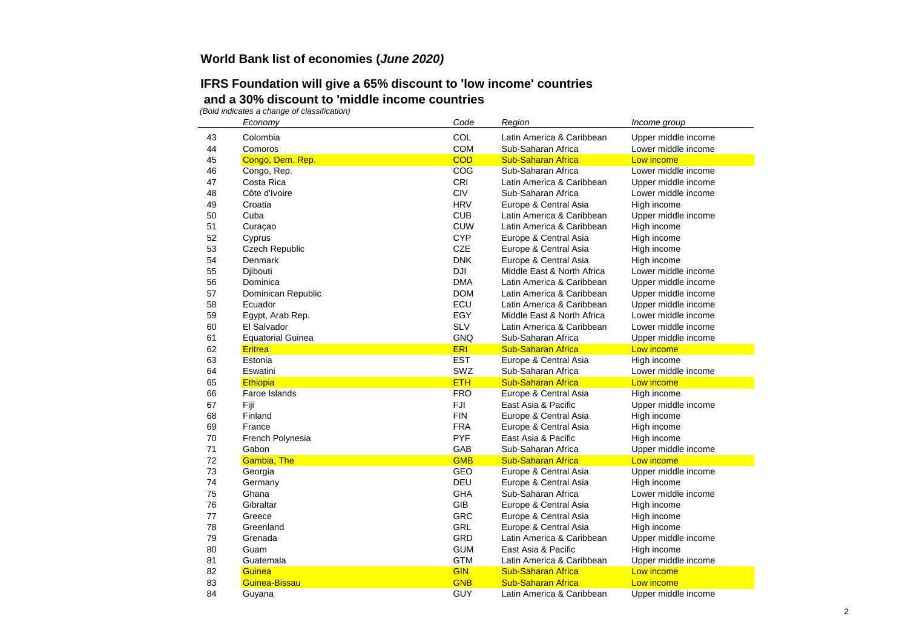## **IFRS Foundation will give a 65% discount to 'low income' countries and a 30% discount to 'middle income countries**

|    | Economy                  | Code       | Region                     | Income group        |
|----|--------------------------|------------|----------------------------|---------------------|
| 43 | Colombia                 | COL        | Latin America & Caribbean  | Upper middle income |
| 44 | Comoros                  | <b>COM</b> | Sub-Saharan Africa         | Lower middle income |
| 45 | Congo, Dem. Rep.         | <b>COD</b> | <b>Sub-Saharan Africa</b>  | Low income          |
| 46 | Congo, Rep.              | COG        | Sub-Saharan Africa         | Lower middle income |
| 47 | Costa Rica               | <b>CRI</b> | Latin America & Caribbean  | Upper middle income |
| 48 | Côte d'Ivoire            | CIV        | Sub-Saharan Africa         | Lower middle income |
| 49 | Croatia                  | <b>HRV</b> | Europe & Central Asia      | High income         |
| 50 | Cuba                     | <b>CUB</b> | Latin America & Caribbean  | Upper middle income |
| 51 | Curaçao                  | <b>CUW</b> | Latin America & Caribbean  | High income         |
| 52 | Cyprus                   | <b>CYP</b> | Europe & Central Asia      | High income         |
| 53 | <b>Czech Republic</b>    | <b>CZE</b> | Europe & Central Asia      | High income         |
| 54 | <b>Denmark</b>           | <b>DNK</b> | Europe & Central Asia      | High income         |
| 55 | Djibouti                 | <b>DJI</b> | Middle East & North Africa | Lower middle income |
| 56 | Dominica                 | <b>DMA</b> | Latin America & Caribbean  | Upper middle income |
| 57 | Dominican Republic       | <b>DOM</b> | Latin America & Caribbean  | Upper middle income |
| 58 | Ecuador                  | ECU        | Latin America & Caribbean  | Upper middle income |
| 59 | Egypt, Arab Rep.         | EGY        | Middle East & North Africa | Lower middle income |
| 60 | El Salvador              | <b>SLV</b> | Latin America & Caribbean  | Lower middle income |
| 61 | <b>Equatorial Guinea</b> | <b>GNQ</b> | Sub-Saharan Africa         | Upper middle income |
| 62 | <b>Eritrea</b>           | <b>ERI</b> | <b>Sub-Saharan Africa</b>  | Low income          |
| 63 | Estonia                  | <b>EST</b> | Europe & Central Asia      | High income         |
| 64 | Eswatini                 | SWZ        | Sub-Saharan Africa         | Lower middle income |
| 65 | Ethiopia                 | <b>ETH</b> | <b>Sub-Saharan Africa</b>  | Low income          |
| 66 | Faroe Islands            | <b>FRO</b> | Europe & Central Asia      | High income         |
| 67 | Fiji                     | FJI        | East Asia & Pacific        | Upper middle income |
| 68 | Finland                  | <b>FIN</b> | Europe & Central Asia      | High income         |
| 69 | France                   | <b>FRA</b> | Europe & Central Asia      | High income         |
| 70 | French Polynesia         | <b>PYF</b> | East Asia & Pacific        | High income         |
| 71 | Gabon                    | GAB        | Sub-Saharan Africa         | Upper middle income |
| 72 | <b>Gambia, The</b>       | <b>GMB</b> | <b>Sub-Saharan Africa</b>  | Low income          |
| 73 | Georgia                  | GEO        | Europe & Central Asia      | Upper middle income |
| 74 | Germany                  | <b>DEU</b> | Europe & Central Asia      | High income         |
| 75 | Ghana                    | <b>GHA</b> | Sub-Saharan Africa         | Lower middle income |
| 76 | Gibraltar                | <b>GIB</b> | Europe & Central Asia      | High income         |
| 77 | Greece                   | GRC        | Europe & Central Asia      | High income         |
| 78 | Greenland                | <b>GRL</b> | Europe & Central Asia      | High income         |
| 79 | Grenada                  | GRD        | Latin America & Caribbean  | Upper middle income |
| 80 | Guam                     | <b>GUM</b> | East Asia & Pacific        | High income         |
| 81 | Guatemala                | <b>GTM</b> | Latin America & Caribbean  | Upper middle income |
| 82 | Guinea                   | <b>GIN</b> | <b>Sub-Saharan Africa</b>  | Low income          |
| 83 | Guinea-Bissau            | <b>GNB</b> | <b>Sub-Saharan Africa</b>  | Low income          |
| 84 | Guyana                   | <b>GUY</b> | Latin America & Caribbean  | Upper middle income |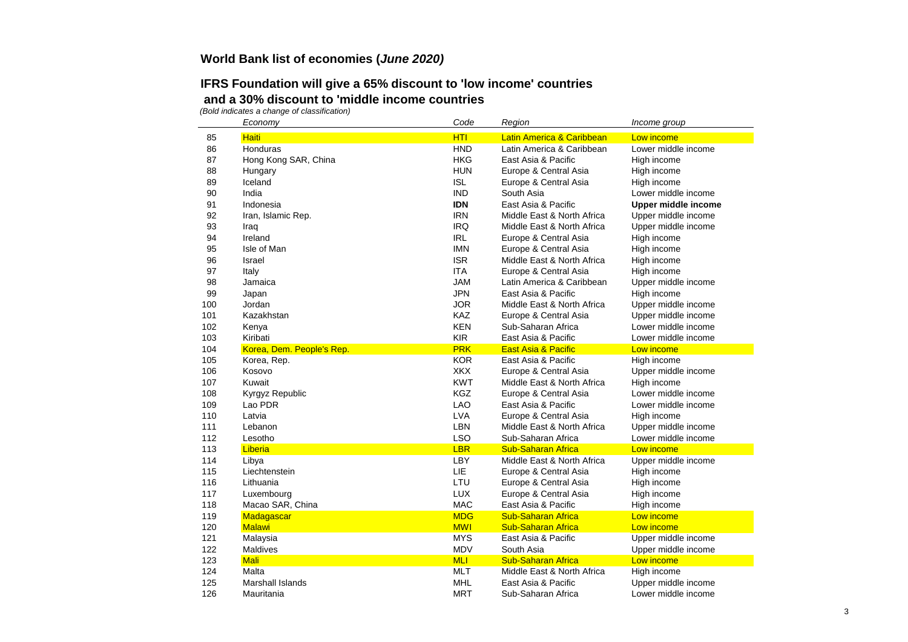## **IFRS Foundation will give a 65% discount to 'low income' countries and a 30% discount to 'middle income countries**

|     | Economy                   | Code       | Region                         | Income group               |
|-----|---------------------------|------------|--------------------------------|----------------------------|
| 85  | <b>Haiti</b>              | <b>HTI</b> | Latin America & Caribbean      | Low income                 |
| 86  | Honduras                  | <b>HND</b> | Latin America & Caribbean      | Lower middle income        |
| 87  | Hong Kong SAR, China      | <b>HKG</b> | East Asia & Pacific            | High income                |
| 88  | Hungary                   | <b>HUN</b> | Europe & Central Asia          | High income                |
| 89  | Iceland                   | <b>ISL</b> | Europe & Central Asia          | High income                |
| 90  | India                     | <b>IND</b> | South Asia                     | Lower middle income        |
| 91  | Indonesia                 | <b>IDN</b> | East Asia & Pacific            | <b>Upper middle income</b> |
| 92  | Iran, Islamic Rep.        | <b>IRN</b> | Middle East & North Africa     | Upper middle income        |
| 93  | Iraq                      | <b>IRQ</b> | Middle East & North Africa     | Upper middle income        |
| 94  | Ireland                   | <b>IRL</b> | Europe & Central Asia          | High income                |
| 95  | Isle of Man               | <b>IMN</b> | Europe & Central Asia          | High income                |
| 96  | Israel                    | <b>ISR</b> | Middle East & North Africa     | High income                |
| 97  | Italy                     | <b>ITA</b> | Europe & Central Asia          | High income                |
| 98  | Jamaica                   | <b>JAM</b> | Latin America & Caribbean      | Upper middle income        |
| 99  | Japan                     | <b>JPN</b> | East Asia & Pacific            | High income                |
| 100 | Jordan                    | <b>JOR</b> | Middle East & North Africa     | Upper middle income        |
| 101 | Kazakhstan                | KAZ        | Europe & Central Asia          | Upper middle income        |
| 102 | Kenya                     | <b>KEN</b> | Sub-Saharan Africa             | Lower middle income        |
| 103 | Kiribati                  | <b>KIR</b> | East Asia & Pacific            | Lower middle income        |
| 104 | Korea, Dem. People's Rep. | <b>PRK</b> | <b>East Asia &amp; Pacific</b> | Low income                 |
| 105 | Korea, Rep.               | <b>KOR</b> | East Asia & Pacific            | High income                |
| 106 | Kosovo                    | <b>XKX</b> | Europe & Central Asia          | Upper middle income        |
| 107 | Kuwait                    | <b>KWT</b> | Middle East & North Africa     | High income                |
| 108 | Kyrgyz Republic           | <b>KGZ</b> | Europe & Central Asia          | Lower middle income        |
| 109 | Lao PDR                   | <b>LAO</b> | East Asia & Pacific            | Lower middle income        |
| 110 | Latvia                    | <b>LVA</b> | Europe & Central Asia          | High income                |
| 111 | Lebanon                   | LBN        | Middle East & North Africa     | Upper middle income        |
| 112 | Lesotho                   | <b>LSO</b> | Sub-Saharan Africa             | Lower middle income        |
| 113 | Liberia                   | <b>LBR</b> | <b>Sub-Saharan Africa</b>      | Low income                 |
| 114 | Libya                     | <b>LBY</b> | Middle East & North Africa     | Upper middle income        |
| 115 | Liechtenstein             | <b>LIE</b> | Europe & Central Asia          | High income                |
| 116 | Lithuania                 | LTU        | Europe & Central Asia          | High income                |
| 117 | Luxembourg                | <b>LUX</b> | Europe & Central Asia          | High income                |
| 118 | Macao SAR, China          | <b>MAC</b> | East Asia & Pacific            | High income                |
| 119 | Madagascar                | <b>MDG</b> | <b>Sub-Saharan Africa</b>      | Low income                 |
| 120 | <b>Malawi</b>             | <b>MWI</b> | <b>Sub-Saharan Africa</b>      | Low income                 |
| 121 | Malaysia                  | <b>MYS</b> | East Asia & Pacific            | Upper middle income        |
| 122 | Maldives                  | <b>MDV</b> | South Asia                     | Upper middle income        |
| 123 | <b>Mali</b>               | <b>MLI</b> | <b>Sub-Saharan Africa</b>      | Low income                 |
| 124 | Malta                     | <b>MLT</b> | Middle East & North Africa     | High income                |
| 125 | <b>Marshall Islands</b>   | <b>MHL</b> | East Asia & Pacific            | Upper middle income        |
| 126 | Mauritania                | <b>MRT</b> | Sub-Saharan Africa             | Lower middle income        |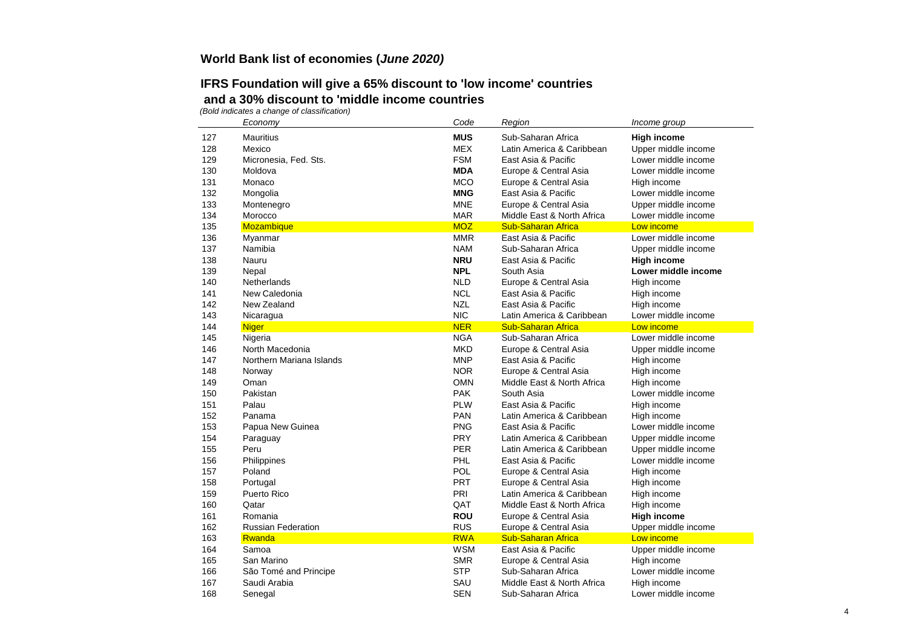## **IFRS Foundation will give a 65% discount to 'low income' countries and a 30% discount to 'middle income countries**

|     | Economy                   | Code       | Region                     | Income group        |
|-----|---------------------------|------------|----------------------------|---------------------|
| 127 | <b>Mauritius</b>          | <b>MUS</b> | Sub-Saharan Africa         | <b>High income</b>  |
| 128 | Mexico                    | <b>MEX</b> | Latin America & Caribbean  | Upper middle income |
| 129 | Micronesia, Fed. Sts.     | <b>FSM</b> | East Asia & Pacific        | Lower middle income |
| 130 | Moldova                   | <b>MDA</b> | Europe & Central Asia      | Lower middle income |
| 131 | Monaco                    | <b>MCO</b> | Europe & Central Asia      | High income         |
| 132 | Mongolia                  | <b>MNG</b> | East Asia & Pacific        | Lower middle income |
| 133 | Montenegro                | <b>MNE</b> | Europe & Central Asia      | Upper middle income |
| 134 | Morocco                   | <b>MAR</b> | Middle East & North Africa | Lower middle income |
| 135 | <b>Mozambique</b>         | <b>MOZ</b> | <b>Sub-Saharan Africa</b>  | Low income          |
| 136 | Myanmar                   | <b>MMR</b> | East Asia & Pacific        | Lower middle income |
| 137 | Namibia                   | <b>NAM</b> | Sub-Saharan Africa         | Upper middle income |
| 138 | Nauru                     | <b>NRU</b> | East Asia & Pacific        | High income         |
| 139 | Nepal                     | <b>NPL</b> | South Asia                 | Lower middle income |
| 140 | <b>Netherlands</b>        | <b>NLD</b> | Europe & Central Asia      | High income         |
| 141 | New Caledonia             | <b>NCL</b> | East Asia & Pacific        | High income         |
| 142 | New Zealand               | <b>NZL</b> | East Asia & Pacific        | High income         |
| 143 | Nicaragua                 | <b>NIC</b> | Latin America & Caribbean  | Lower middle income |
| 144 | <b>Niger</b>              | <b>NER</b> | <b>Sub-Saharan Africa</b>  | Low income          |
| 145 | Nigeria                   | <b>NGA</b> | Sub-Saharan Africa         | Lower middle income |
| 146 | North Macedonia           | <b>MKD</b> | Europe & Central Asia      | Upper middle income |
| 147 | Northern Mariana Islands  | <b>MNP</b> | East Asia & Pacific        | High income         |
| 148 | Norway                    | <b>NOR</b> | Europe & Central Asia      | High income         |
| 149 | Oman                      | <b>OMN</b> | Middle East & North Africa | High income         |
| 150 | Pakistan                  | <b>PAK</b> | South Asia                 | Lower middle income |
| 151 | Palau                     | <b>PLW</b> | East Asia & Pacific        | High income         |
| 152 | Panama                    | <b>PAN</b> | Latin America & Caribbean  | High income         |
| 153 | Papua New Guinea          | <b>PNG</b> | East Asia & Pacific        | Lower middle income |
| 154 | Paraguay                  | <b>PRY</b> | Latin America & Caribbean  | Upper middle income |
| 155 | Peru                      | <b>PER</b> | Latin America & Caribbean  | Upper middle income |
| 156 | Philippines               | <b>PHL</b> | East Asia & Pacific        | Lower middle income |
| 157 | Poland                    | <b>POL</b> | Europe & Central Asia      | High income         |
| 158 | Portugal                  | <b>PRT</b> | Europe & Central Asia      | High income         |
| 159 | Puerto Rico               | PRI        | Latin America & Caribbean  | High income         |
| 160 | Qatar                     | QAT        | Middle East & North Africa | High income         |
| 161 | Romania                   | <b>ROU</b> | Europe & Central Asia      | High income         |
| 162 | <b>Russian Federation</b> | <b>RUS</b> | Europe & Central Asia      | Upper middle income |
| 163 | Rwanda                    | <b>RWA</b> | <b>Sub-Saharan Africa</b>  | Low income          |
| 164 | Samoa                     | <b>WSM</b> | East Asia & Pacific        | Upper middle income |
| 165 | San Marino                | <b>SMR</b> | Europe & Central Asia      | High income         |
| 166 | São Tomé and Principe     | <b>STP</b> | Sub-Saharan Africa         | Lower middle income |
| 167 | Saudi Arabia              | SAU        | Middle East & North Africa | High income         |
| 168 | Senegal                   | <b>SEN</b> | Sub-Saharan Africa         | Lower middle income |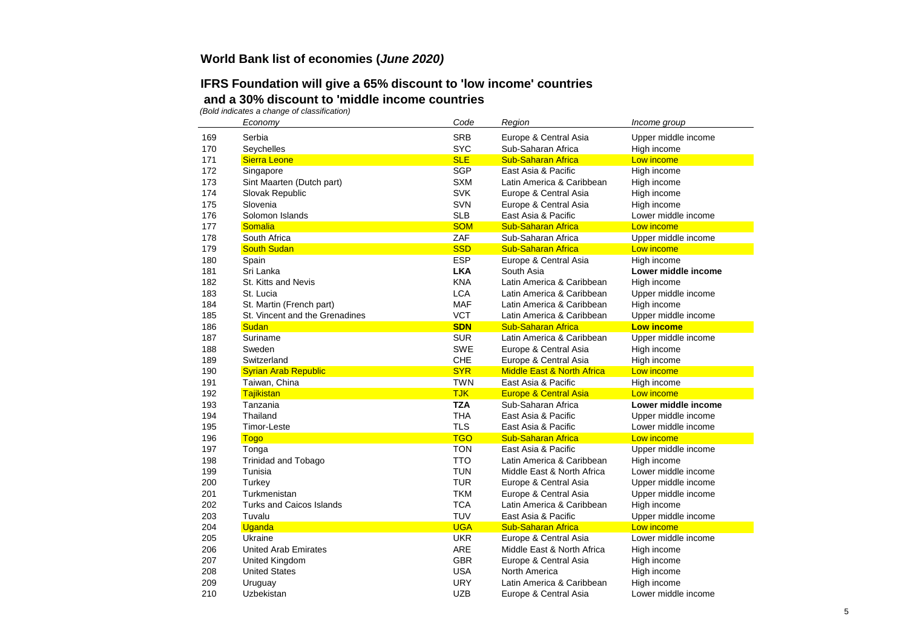## **IFRS Foundation will give a 65% discount to 'low income' countries and a 30% discount to 'middle income countries**

|     | Economy                         | Code       | Region                                | Income group        |
|-----|---------------------------------|------------|---------------------------------------|---------------------|
| 169 | Serbia                          | <b>SRB</b> | Europe & Central Asia                 | Upper middle income |
| 170 | Seychelles                      | <b>SYC</b> | Sub-Saharan Africa                    | High income         |
| 171 | <b>Sierra Leone</b>             | <b>SLE</b> | <b>Sub-Saharan Africa</b>             | Low income          |
| 172 | Singapore                       | <b>SGP</b> | East Asia & Pacific                   | High income         |
| 173 | Sint Maarten (Dutch part)       | <b>SXM</b> | Latin America & Caribbean             | High income         |
| 174 | Slovak Republic                 | <b>SVK</b> | Europe & Central Asia                 | High income         |
| 175 | Slovenia                        | SVN        | Europe & Central Asia                 | High income         |
| 176 | Solomon Islands                 | <b>SLB</b> | East Asia & Pacific                   | Lower middle income |
| 177 | Somalia                         | <b>SOM</b> | <b>Sub-Saharan Africa</b>             | Low income          |
| 178 | South Africa                    | ZAF        | Sub-Saharan Africa                    | Upper middle income |
| 179 | <b>South Sudan</b>              | <b>SSD</b> | <b>Sub-Saharan Africa</b>             | Low income          |
| 180 | Spain                           | <b>ESP</b> | Europe & Central Asia                 | High income         |
| 181 | Sri Lanka                       | <b>LKA</b> | South Asia                            | Lower middle income |
| 182 | St. Kitts and Nevis             | <b>KNA</b> | Latin America & Caribbean             | High income         |
| 183 | St. Lucia                       | <b>LCA</b> | Latin America & Caribbean             | Upper middle income |
| 184 | St. Martin (French part)        | <b>MAF</b> | Latin America & Caribbean             | High income         |
| 185 | St. Vincent and the Grenadines  | <b>VCT</b> | Latin America & Caribbean             | Upper middle income |
| 186 | Sudan                           | <b>SDN</b> | <b>Sub-Saharan Africa</b>             | <b>Low income</b>   |
| 187 | Suriname                        | <b>SUR</b> | Latin America & Caribbean             | Upper middle income |
| 188 | Sweden                          | <b>SWE</b> | Europe & Central Asia                 | High income         |
| 189 | Switzerland                     | CHE        | Europe & Central Asia                 | High income         |
| 190 | <b>Syrian Arab Republic</b>     | <b>SYR</b> | <b>Middle East &amp; North Africa</b> | Low income          |
| 191 | Taiwan, China                   | <b>TWN</b> | East Asia & Pacific                   | High income         |
| 192 | Tajikistan                      | <b>TJK</b> | <b>Europe &amp; Central Asia</b>      | Low income          |
| 193 | Tanzania                        | <b>TZA</b> | Sub-Saharan Africa                    | Lower middle income |
| 194 | Thailand                        | <b>THA</b> | East Asia & Pacific                   | Upper middle income |
| 195 | <b>Timor-Leste</b>              | <b>TLS</b> | East Asia & Pacific                   | Lower middle income |
| 196 | <b>Togo</b>                     | <b>TGO</b> | <b>Sub-Saharan Africa</b>             | Low income          |
| 197 | Tonga                           | <b>TON</b> | East Asia & Pacific                   | Upper middle income |
| 198 | <b>Trinidad and Tobago</b>      | <b>TTO</b> | Latin America & Caribbean             | High income         |
| 199 | Tunisia                         | <b>TUN</b> | Middle East & North Africa            | Lower middle income |
| 200 | Turkey                          | <b>TUR</b> | Europe & Central Asia                 | Upper middle income |
| 201 | Turkmenistan                    | <b>TKM</b> | Europe & Central Asia                 | Upper middle income |
| 202 | <b>Turks and Caicos Islands</b> | <b>TCA</b> | Latin America & Caribbean             | High income         |
| 203 | Tuvalu                          | <b>TUV</b> | East Asia & Pacific                   | Upper middle income |
| 204 | Uganda                          | <b>UGA</b> | <b>Sub-Saharan Africa</b>             | Low income          |
| 205 | Ukraine                         | <b>UKR</b> | Europe & Central Asia                 | Lower middle income |
| 206 | <b>United Arab Emirates</b>     | <b>ARE</b> | Middle East & North Africa            | High income         |
| 207 | United Kingdom                  | <b>GBR</b> | Europe & Central Asia                 | High income         |
| 208 | <b>United States</b>            | <b>USA</b> | North America                         | High income         |
| 209 | Uruguay                         | <b>URY</b> | Latin America & Caribbean             | High income         |
| 210 | Uzbekistan                      | <b>UZB</b> | Europe & Central Asia                 | Lower middle income |